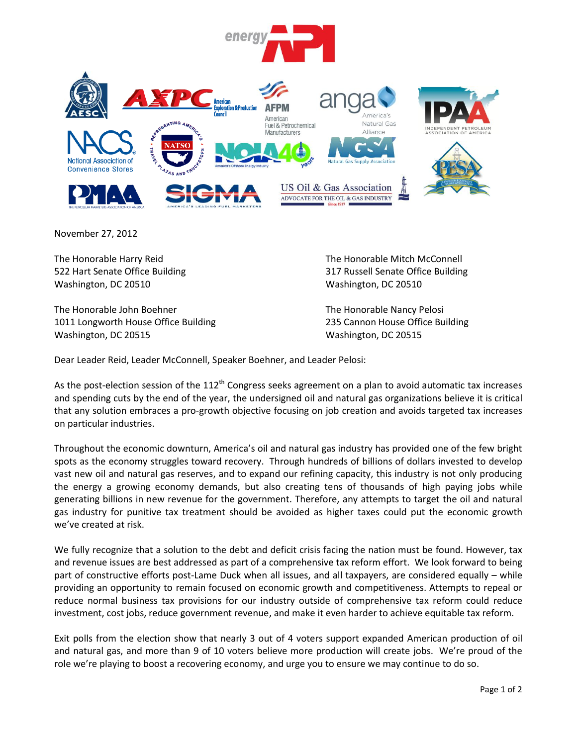

November 27, 2012

The Honorable Harry Reid The Honorable Mitch McConnell Washington, DC 20510 Washington, DC 20510

The Honorable John Boehner The Honorable Nancy Pelosi 1011 Longworth House Office Building 235 Cannon House Office Building Washington, DC 20515 Washington, DC 20515

522 Hart Senate Office Building 317 Russell Senate Office Building

Dear Leader Reid, Leader McConnell, Speaker Boehner, and Leader Pelosi:

As the post-election session of the  $112<sup>th</sup>$  Congress seeks agreement on a plan to avoid automatic tax increases and spending cuts by the end of the year, the undersigned oil and natural gas organizations believe it is critical that any solution embraces a pro-growth objective focusing on job creation and avoids targeted tax increases on particular industries.

Throughout the economic downturn, America's oil and natural gas industry has provided one of the few bright spots as the economy struggles toward recovery. Through hundreds of billions of dollars invested to develop vast new oil and natural gas reserves, and to expand our refining capacity, this industry is not only producing the energy a growing economy demands, but also creating tens of thousands of high paying jobs while generating billions in new revenue for the government. Therefore, any attempts to target the oil and natural gas industry for punitive tax treatment should be avoided as higher taxes could put the economic growth we've created at risk.

We fully recognize that a solution to the debt and deficit crisis facing the nation must be found. However, tax and revenue issues are best addressed as part of a comprehensive tax reform effort. We look forward to being part of constructive efforts post-Lame Duck when all issues, and all taxpayers, are considered equally – while providing an opportunity to remain focused on economic growth and competitiveness. Attempts to repeal or reduce normal business tax provisions for our industry outside of comprehensive tax reform could reduce investment, cost jobs, reduce government revenue, and make it even harder to achieve equitable tax reform.

Exit polls from the election show that nearly 3 out of 4 voters support expanded American production of oil and natural gas, and more than 9 of 10 voters believe more production will create jobs. We're proud of the role we're playing to boost a recovering economy, and urge you to ensure we may continue to do so.